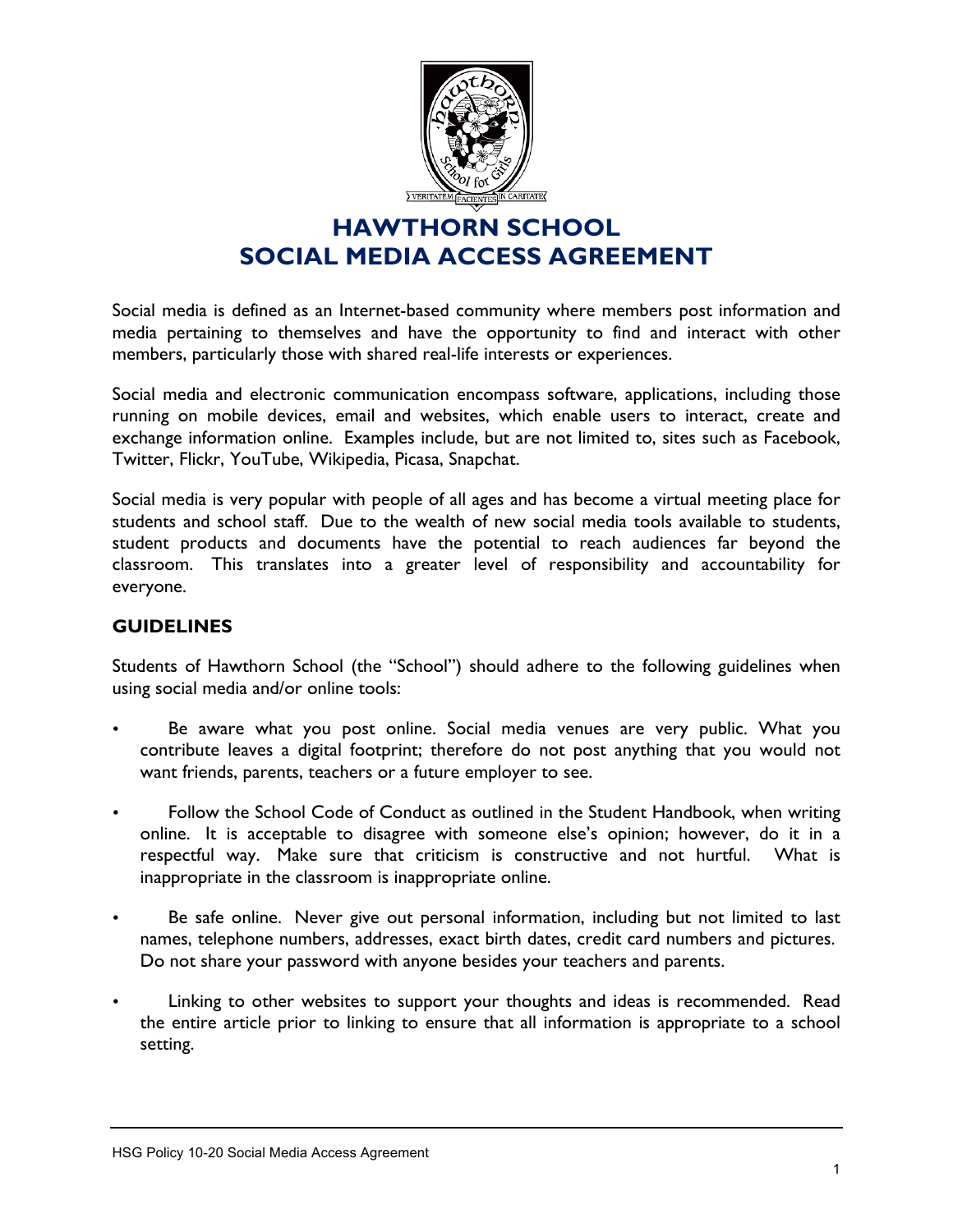

Social media is defined as an Internet-based community where members post information and media pertaining to themselves and have the opportunity to find and interact with other members, particularly those with shared real-life interests or experiences.

Social media and electronic communication encompass software, applications, including those running on mobile devices, email and websites, which enable users to interact, create and exchange information online. Examples include, but are not limited to, sites such as Facebook, Twitter, Flickr, YouTube, Wikipedia, Picasa, Snapchat.

Social media is very popular with people of all ages and has become a virtual meeting place for students and school staff. Due to the wealth of new social media tools available to students, student products and documents have the potential to reach audiences far beyond the classroom. This translates into a greater level of responsibility and accountability for everyone.

### **GUIDELINES**

Students of Hawthorn School (the "School") should adhere to the following guidelines when using social media and/or online tools:

- Be aware what you post online. Social media venues are very public. What you contribute leaves a digital footprint; therefore do not post anything that you would not want friends, parents, teachers or a future employer to see.
- Follow the School Code of Conduct as outlined in the Student Handbook, when writing online. It is acceptable to disagree with someone else's opinion; however, do it in a respectful way. Make sure that criticism is constructive and not hurtful. What is inappropriate in the classroom is inappropriate online.
- Be safe online. Never give out personal information, including but not limited to last names, telephone numbers, addresses, exact birth dates, credit card numbers and pictures. Do not share your password with anyone besides your teachers and parents.
- Linking to other websites to support your thoughts and ideas is recommended. Read the entire article prior to linking to ensure that all information is appropriate to a school setting.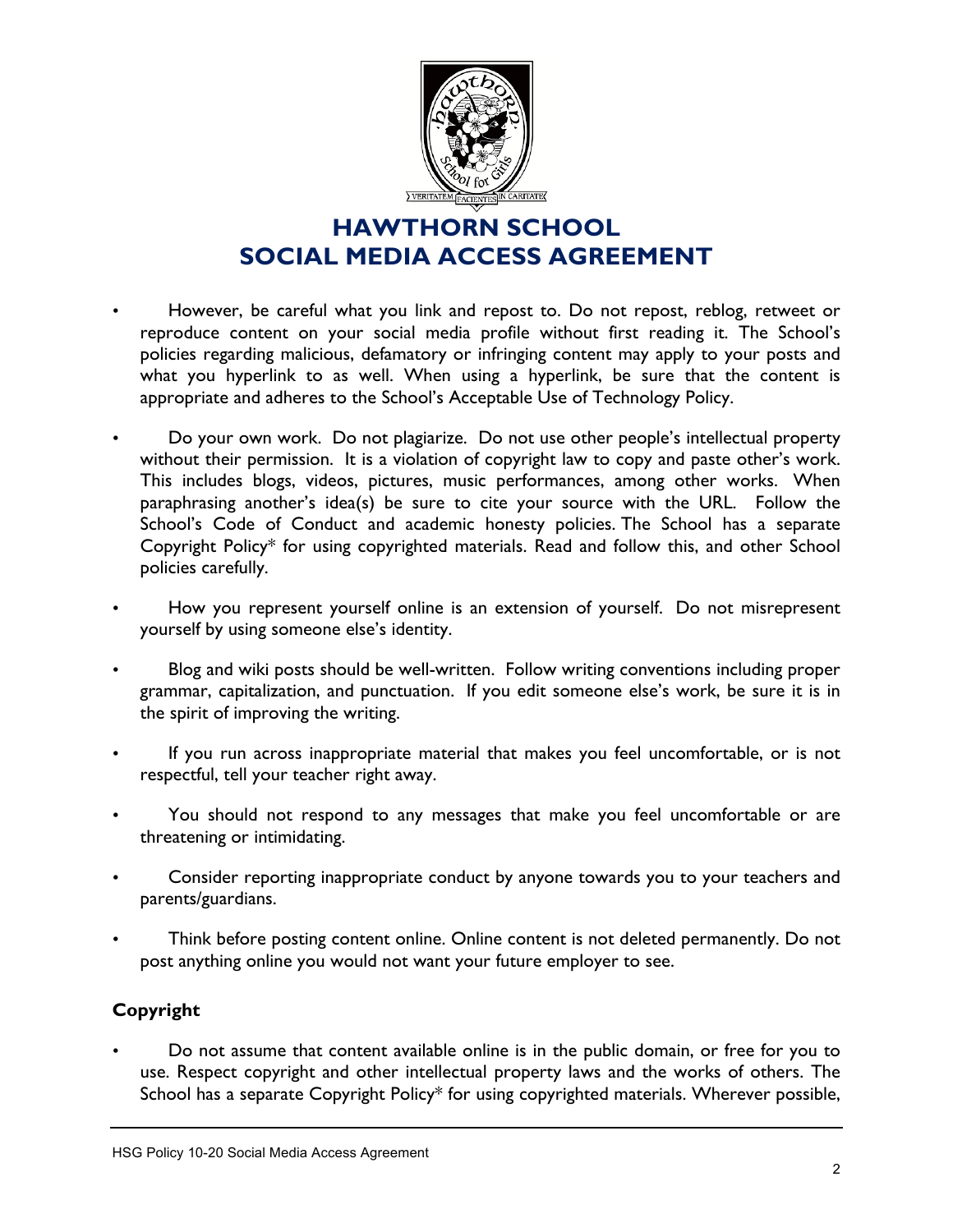

- However, be careful what you link and repost to. Do not repost, reblog, retweet or reproduce content on your social media profile without first reading it. The School's policies regarding malicious, defamatory or infringing content may apply to your posts and what you hyperlink to as well. When using a hyperlink, be sure that the content is appropriate and adheres to the School's Acceptable Use of Technology Policy.
- Do your own work. Do not plagiarize. Do not use other people's intellectual property without their permission. It is a violation of copyright law to copy and paste other's work. This includes blogs, videos, pictures, music performances, among other works. When paraphrasing another's idea(s) be sure to cite your source with the URL. Follow the School's Code of Conduct and academic honesty policies. The School has a separate Copyright Policy\* for using copyrighted materials. Read and follow this, and other School policies carefully.
- How you represent yourself online is an extension of yourself. Do not misrepresent yourself by using someone else's identity.
- Blog and wiki posts should be well-written. Follow writing conventions including proper grammar, capitalization, and punctuation. If you edit someone else's work, be sure it is in the spirit of improving the writing.
- If you run across inappropriate material that makes you feel uncomfortable, or is not respectful, tell your teacher right away.
- You should not respond to any messages that make you feel uncomfortable or are threatening or intimidating.
- Consider reporting inappropriate conduct by anyone towards you to your teachers and parents/guardians.
- Think before posting content online. Online content is not deleted permanently. Do not post anything online you would not want your future employer to see.

### **Copyright**

• Do not assume that content available online is in the public domain, or free for you to use. Respect copyright and other intellectual property laws and the works of others. The School has a separate Copyright Policy\* for using copyrighted materials. Wherever possible,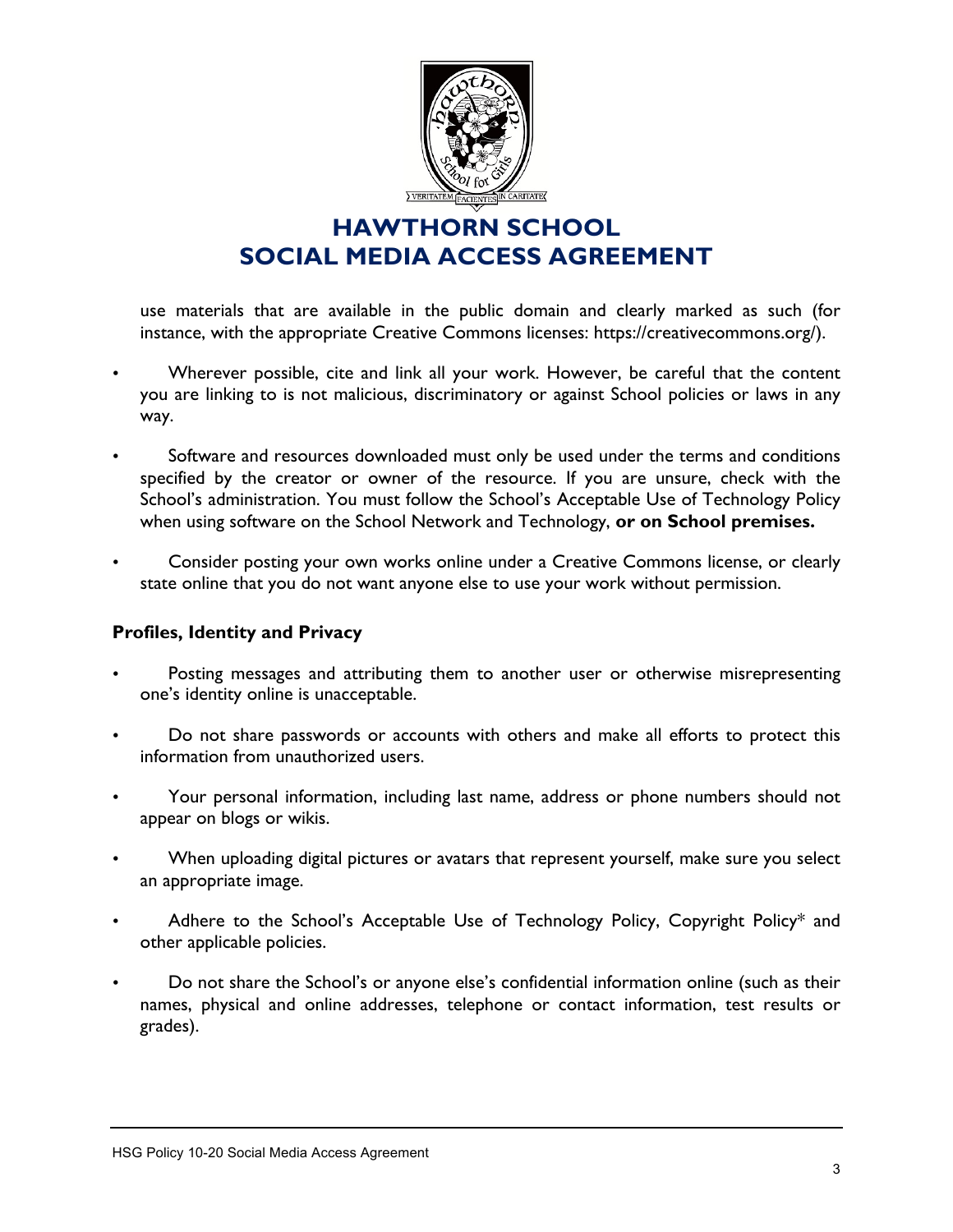

use materials that are available in the public domain and clearly marked as such (for instance, with the appropriate Creative Commons licenses: https://creativecommons.org/).

- Wherever possible, cite and link all your work. However, be careful that the content you are linking to is not malicious, discriminatory or against School policies or laws in any way.
- Software and resources downloaded must only be used under the terms and conditions specified by the creator or owner of the resource. If you are unsure, check with the School's administration. You must follow the School's Acceptable Use of Technology Policy when using software on the School Network and Technology, **or on School premises.**
- Consider posting your own works online under a Creative Commons license, or clearly state online that you do not want anyone else to use your work without permission.

#### **Profiles, Identity and Privacy**

- Posting messages and attributing them to another user or otherwise misrepresenting one's identity online is unacceptable.
- Do not share passwords or accounts with others and make all efforts to protect this information from unauthorized users.
- Your personal information, including last name, address or phone numbers should not appear on blogs or wikis.
- When uploading digital pictures or avatars that represent yourself, make sure you select an appropriate image.
- Adhere to the School's Acceptable Use of Technology Policy, Copyright Policy\* and other applicable policies.
- Do not share the School's or anyone else's confidential information online (such as their names, physical and online addresses, telephone or contact information, test results or grades).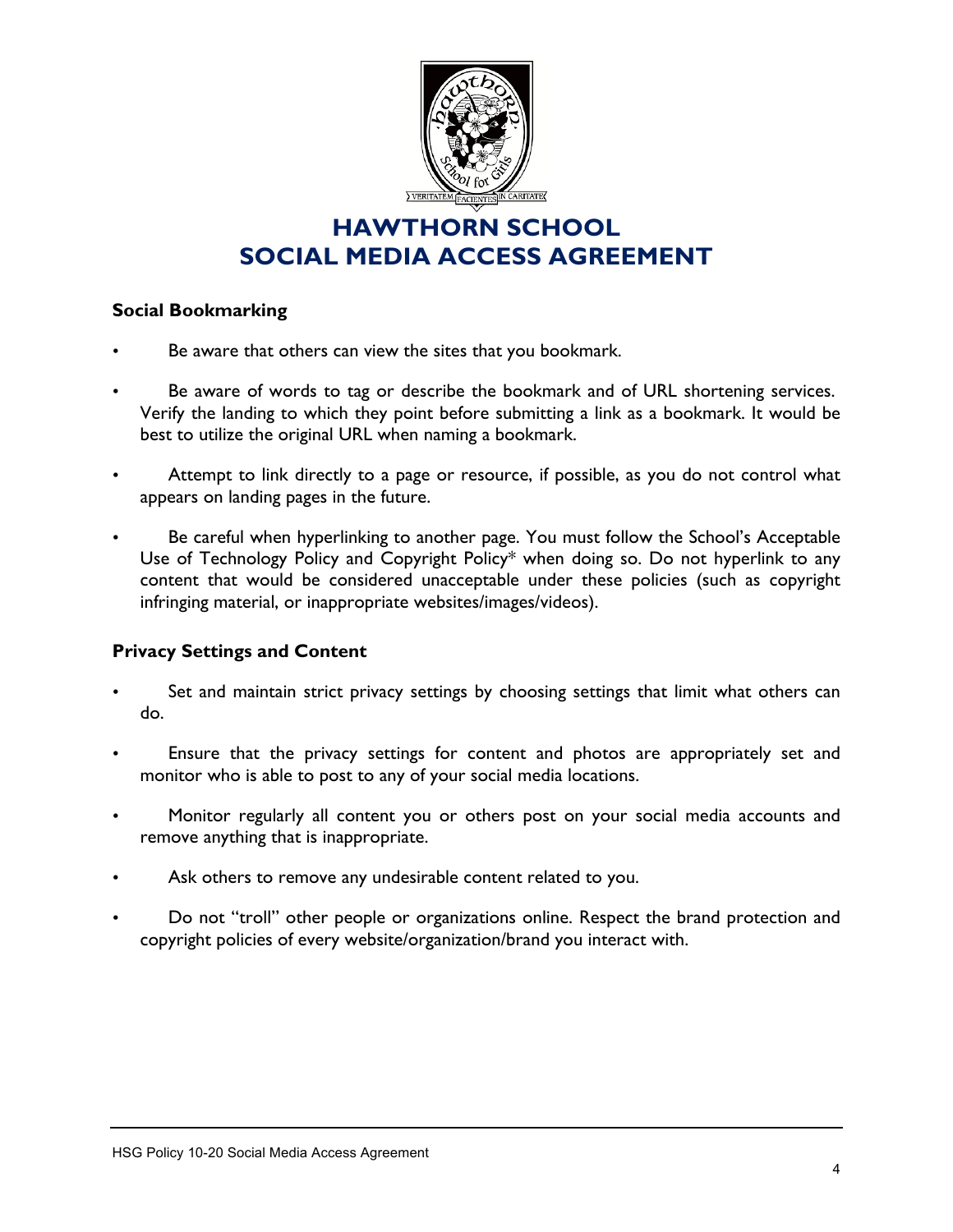

#### **Social Bookmarking**

- Be aware that others can view the sites that you bookmark.
- Be aware of words to tag or describe the bookmark and of URL shortening services. Verify the landing to which they point before submitting a link as a bookmark. It would be best to utilize the original URL when naming a bookmark.
- Attempt to link directly to a page or resource, if possible, as you do not control what appears on landing pages in the future.
- Be careful when hyperlinking to another page. You must follow the School's Acceptable Use of Technology Policy and Copyright Policy\* when doing so. Do not hyperlink to any content that would be considered unacceptable under these policies (such as copyright infringing material, or inappropriate websites/images/videos).

#### **Privacy Settings and Content**

- Set and maintain strict privacy settings by choosing settings that limit what others can do.
- Ensure that the privacy settings for content and photos are appropriately set and monitor who is able to post to any of your social media locations.
- Monitor regularly all content you or others post on your social media accounts and remove anything that is inappropriate.
- Ask others to remove any undesirable content related to you.
- Do not "troll" other people or organizations online. Respect the brand protection and copyright policies of every website/organization/brand you interact with.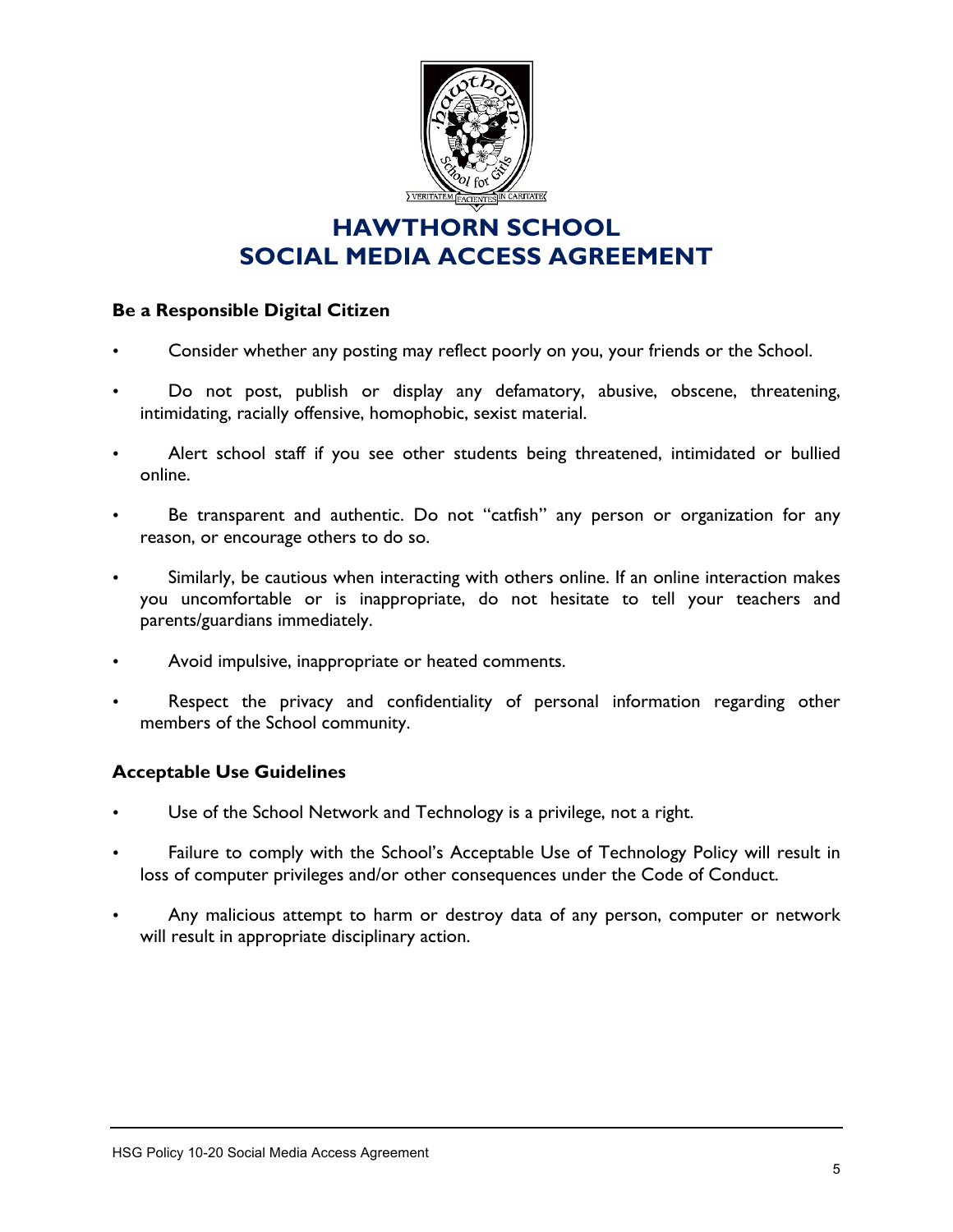

#### **Be a Responsible Digital Citizen**

- Consider whether any posting may reflect poorly on you, your friends or the School.
- Do not post, publish or display any defamatory, abusive, obscene, threatening, intimidating, racially offensive, homophobic, sexist material.
- Alert school staff if you see other students being threatened, intimidated or bullied online.
- Be transparent and authentic. Do not "catfish" any person or organization for any reason, or encourage others to do so.
- Similarly, be cautious when interacting with others online. If an online interaction makes you uncomfortable or is inappropriate, do not hesitate to tell your teachers and parents/guardians immediately.
- Avoid impulsive, inappropriate or heated comments.
- Respect the privacy and confidentiality of personal information regarding other members of the School community.

#### **Acceptable Use Guidelines**

- Use of the School Network and Technology is a privilege, not a right.
- Failure to comply with the School's Acceptable Use of Technology Policy will result in loss of computer privileges and/or other consequences under the Code of Conduct.
- Any malicious attempt to harm or destroy data of any person, computer or network will result in appropriate disciplinary action.